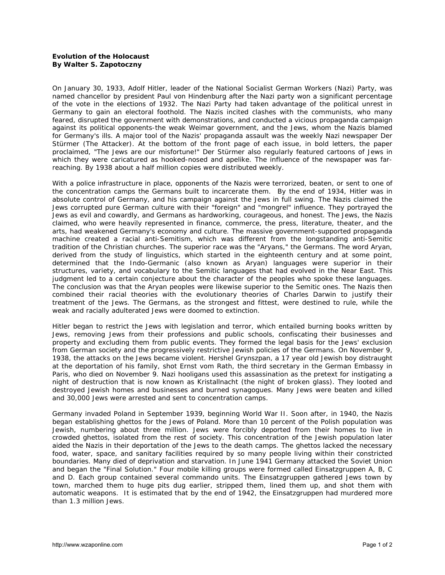## **Evolution of the Holocaust By Walter S. Zapotoczny**

On January 30, 1933, Adolf Hitler, leader of the National Socialist German Workers (Nazi) Party, was named chancellor by president Paul von Hindenburg after the Nazi party won a significant percentage of the vote in the elections of 1932. The Nazi Party had taken advantage of the political unrest in Germany to gain an electoral foothold. The Nazis incited clashes with the communists, who many feared, disrupted the government with demonstrations, and conducted a vicious propaganda campaign against its political opponents-the weak Weimar government, and the Jews, whom the Nazis blamed for Germany's ills. A major tool of the Nazis' propaganda assault was the weekly Nazi newspaper *Der Stürmer* (The Attacker). At the bottom of the front page of each issue, in bold letters, the paper proclaimed, "The Jews are our misfortune!" *Der Stürmer* also regularly featured cartoons of Jews in which they were caricatured as hooked-nosed and apelike. The influence of the newspaper was farreaching. By 1938 about a half million copies were distributed weekly.

With a police infrastructure in place, opponents of the Nazis were terrorized, beaten, or sent to one of the concentration camps the Germans built to incarcerate them. By the end of 1934, Hitler was in absolute control of Germany, and his campaign against the Jews in full swing. The Nazis claimed the Jews corrupted pure German culture with their "foreign" and "mongrel" influence. They portrayed the Jews as evil and cowardly, and Germans as hardworking, courageous, and honest. The Jews, the Nazis claimed, who were heavily represented in finance, commerce, the press, literature, theater, and the arts, had weakened Germany's economy and culture. The massive government-supported propaganda machine created a racial anti-Semitism, which was different from the longstanding anti-Semitic tradition of the Christian churches. The superior race was the "Aryans," the Germans. The word Aryan, derived from the study of linguistics, which started in the eighteenth century and at some point, determined that the Indo-Germanic (also known as Aryan) languages were superior in their structures, variety, and vocabulary to the Semitic languages that had evolved in the Near East. This judgment led to a certain conjecture about the character of the peoples who spoke these languages. The conclusion was that the Aryan peoples were likewise superior to the Semitic ones. The Nazis then combined their racial theories with the evolutionary theories of Charles Darwin to justify their treatment of the Jews. The Germans, as the strongest and fittest, were destined to rule, while the weak and racially adulterated Jews were doomed to extinction.

Hitler began to restrict the Jews with legislation and terror, which entailed burning books written by Jews, removing Jews from their professions and public schools, confiscating their businesses and property and excluding them from public events. They formed the legal basis for the Jews' exclusion from German society and the progressively restrictive Jewish policies of the Germans. On November 9, 1938, the attacks on the Jews became violent. Hershel Grynszpan, a 17 year old Jewish boy distraught at the deportation of his family, shot Ernst vom Rath, the third secretary in the German Embassy in Paris, who died on November 9. Nazi hooligans used this assassination as the pretext for instigating a night of destruction that is now known as *Kristallnacht* (the night of broken glass). They looted and destroyed Jewish homes and businesses and burned synagogues. Many Jews were beaten and killed and 30,000 Jews were arrested and sent to concentration camps.

Germany invaded Poland in September 1939, beginning World War II. Soon after, in 1940, the Nazis began establishing ghettos for the Jews of Poland. More than 10 percent of the Polish population was Jewish, numbering about three million. Jews were forcibly deported from their homes to live in crowded ghettos, isolated from the rest of society. This concentration of the Jewish population later aided the Nazis in their deportation of the Jews to the death camps. The ghettos lacked the necessary food, water, space, and sanitary facilities required by so many people living within their constricted boundaries. Many died of deprivation and starvation. In June 1941 Germany attacked the Soviet Union and began the "Final Solution." Four mobile killing groups were formed called *Einsatzgruppen* A, B, C and D. Each group contained several commando units. The *Einsatzgruppen* gathered Jews town by town, marched them to huge pits dug earlier, stripped them, lined them up, and shot them with automatic weapons. It is estimated that by the end of 1942, the *Einsatzgruppen* had murdered more than 1.3 million Jews.